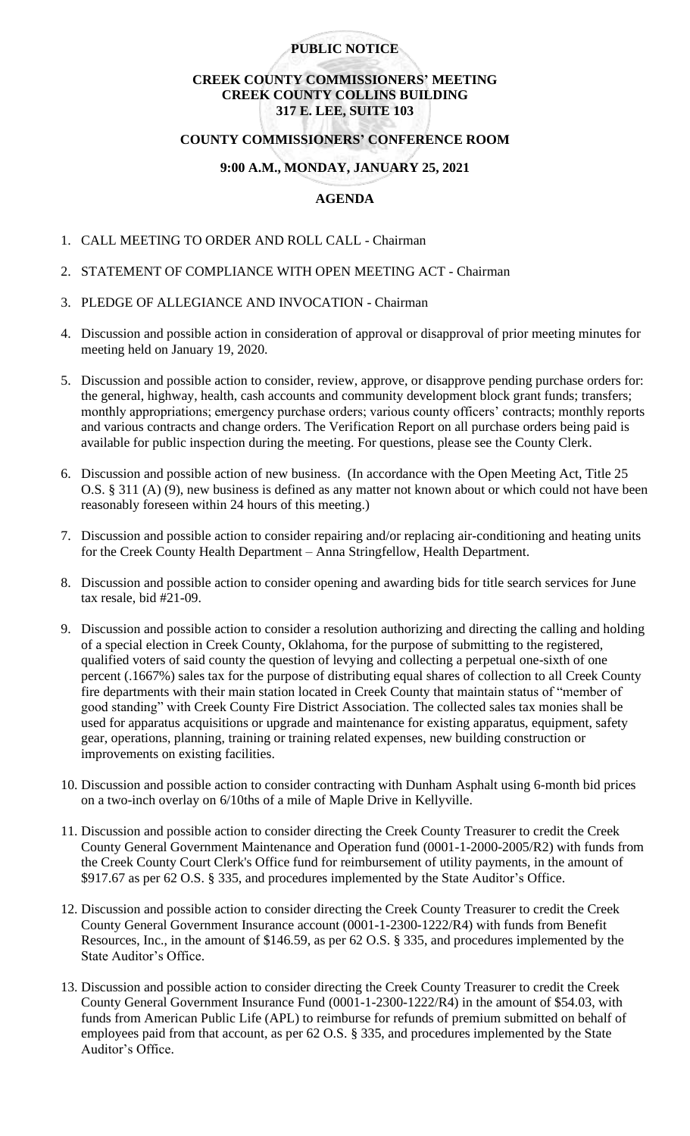#### **PUBLIC NOTICE**

### **CREEK COUNTY COMMISSIONERS' MEETING CREEK COUNTY COLLINS BUILDING 317 E. LEE, SUITE 103**

#### **COUNTY COMMISSIONERS' CONFERENCE ROOM**

# **9:00 A.M., MONDAY, JANUARY 25, 2021**

## **AGENDA**

- 1. CALL MEETING TO ORDER AND ROLL CALL Chairman
- 2. STATEMENT OF COMPLIANCE WITH OPEN MEETING ACT Chairman
- 3. PLEDGE OF ALLEGIANCE AND INVOCATION Chairman
- 4. Discussion and possible action in consideration of approval or disapproval of prior meeting minutes for meeting held on January 19, 2020.
- 5. Discussion and possible action to consider, review, approve, or disapprove pending purchase orders for: the general, highway, health, cash accounts and community development block grant funds; transfers; monthly appropriations; emergency purchase orders; various county officers' contracts; monthly reports and various contracts and change orders. The Verification Report on all purchase orders being paid is available for public inspection during the meeting. For questions, please see the County Clerk.
- 6. Discussion and possible action of new business. (In accordance with the Open Meeting Act, Title 25 O.S. § 311 (A) (9), new business is defined as any matter not known about or which could not have been reasonably foreseen within 24 hours of this meeting.)
- 7. Discussion and possible action to consider repairing and/or replacing air-conditioning and heating units for the Creek County Health Department – Anna Stringfellow, Health Department.
- 8. Discussion and possible action to consider opening and awarding bids for title search services for June tax resale, bid #21-09.
- 9. Discussion and possible action to consider a resolution authorizing and directing the calling and holding of a special election in Creek County, Oklahoma, for the purpose of submitting to the registered, qualified voters of said county the question of levying and collecting a perpetual one-sixth of one percent (.1667%) sales tax for the purpose of distributing equal shares of collection to all Creek County fire departments with their main station located in Creek County that maintain status of "member of good standing" with Creek County Fire District Association. The collected sales tax monies shall be used for apparatus acquisitions or upgrade and maintenance for existing apparatus, equipment, safety gear, operations, planning, training or training related expenses, new building construction or improvements on existing facilities.
- 10. Discussion and possible action to consider contracting with Dunham Asphalt using 6-month bid prices on a two-inch overlay on 6/10ths of a mile of Maple Drive in Kellyville.
- 11. Discussion and possible action to consider directing the Creek County Treasurer to credit the Creek County General Government Maintenance and Operation fund (0001-1-2000-2005/R2) with funds from the Creek County Court Clerk's Office fund for reimbursement of utility payments, in the amount of \$917.67 as per 62 O.S. § 335, and procedures implemented by the State Auditor's Office.
- 12. Discussion and possible action to consider directing the Creek County Treasurer to credit the Creek County General Government Insurance account (0001-1-2300-1222/R4) with funds from Benefit Resources, Inc., in the amount of \$146.59, as per 62 O.S. § 335, and procedures implemented by the State Auditor's Office.
- 13. Discussion and possible action to consider directing the Creek County Treasurer to credit the Creek County General Government Insurance Fund (0001-1-2300-1222/R4) in the amount of \$54.03, with funds from American Public Life (APL) to reimburse for refunds of premium submitted on behalf of employees paid from that account, as per 62 O.S. § 335, and procedures implemented by the State Auditor's Office.